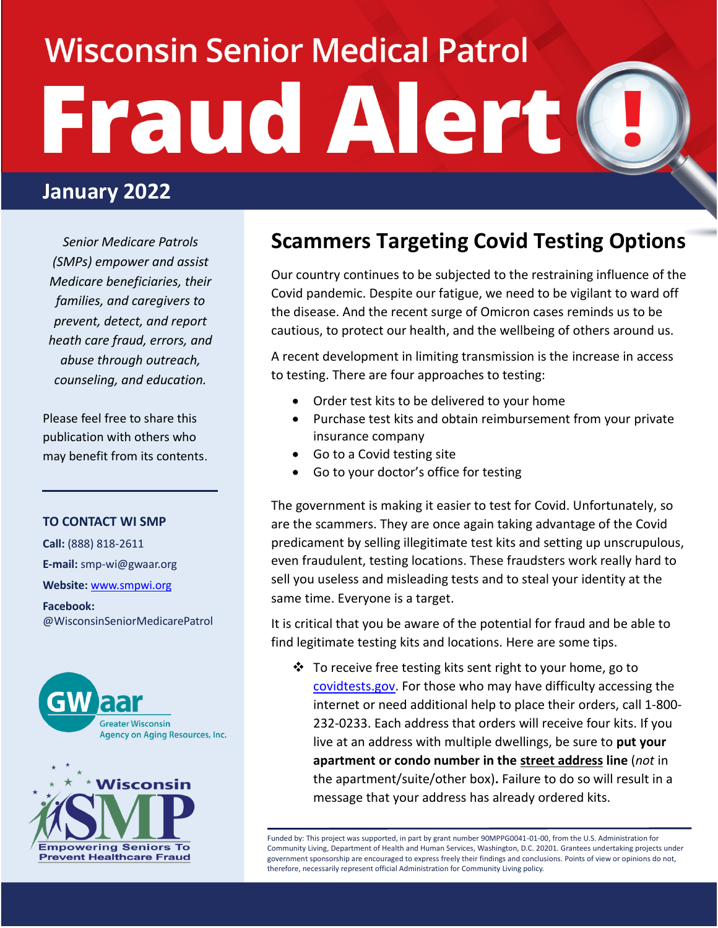# **Wisconsin Senior Medical Patrol** Fraud Alert

## **January 2022**

*Senior Medicare Patrols (SMPs) empower and assist Medicare beneficiaries, their families, and caregivers to prevent, detect, and report heath care fraud, errors, and abuse through outreach, counseling, and education.*

Please feel free to share this publication with others who may benefit from its contents.

#### **TO CONTACT WI SMP**

**Call:** (888) 818-2611 **E-mail:** smp-wi@gwaar.org **Website:** [www.smpwi.org](http://www.smpwi.org/)

**Facebook:** @WisconsinSeniorMedicarePatrol





## **Scammers Targeting Covid Testing Options**

Our country continues to be subjected to the restraining influence of the Covid pandemic. Despite our fatigue, we need to be vigilant to ward off the disease. And the recent surge of Omicron cases reminds us to be cautious, to protect our health, and the wellbeing of others around us.

A recent development in limiting transmission is the increase in access to testing. There are four approaches to testing:

- Order test kits to be delivered to your home
- Purchase test kits and obtain reimbursement from your private insurance company
- Go to a Covid testing site
- Go to your doctor's office for testing

The government is making it easier to test for Covid. Unfortunately, so are the scammers. They are once again taking advantage of the Covid predicament by selling illegitimate test kits and setting up unscrupulous, even fraudulent, testing locations. These fraudsters work really hard to sell you useless and misleading tests and to steal your identity at the same time. Everyone is a target.

It is critical that you be aware of the potential for fraud and be able to find legitimate testing kits and locations. Here are some tips.

 $\cdot \cdot$  To receive free testing kits sent right to your home, go to [covidtests.gov.](http://www.covidtests.gov/) For those who may have difficulty accessing the internet or need additional help to place their orders, call 1-800- 232-0233. Each address that orders will receive four kits. If you live at an address with multiple dwellings, be sure to **put your apartment or condo number in the street address line** (*not* in the apartment/suite/other box)**.** Failure to do so will result in a message that your address has already ordered kits.

Funded by: This project was supported, in part by grant number 90MPPG0041-01-00, from the U.S. Administration for Community Living, Department of Health and Human Services, Washington, D.C. 20201. Grantees undertaking projects under government sponsorship are encouraged to express freely their findings and conclusions. Points of view or opinions do not, therefore, necessarily represent official Administration for Community Living policy.